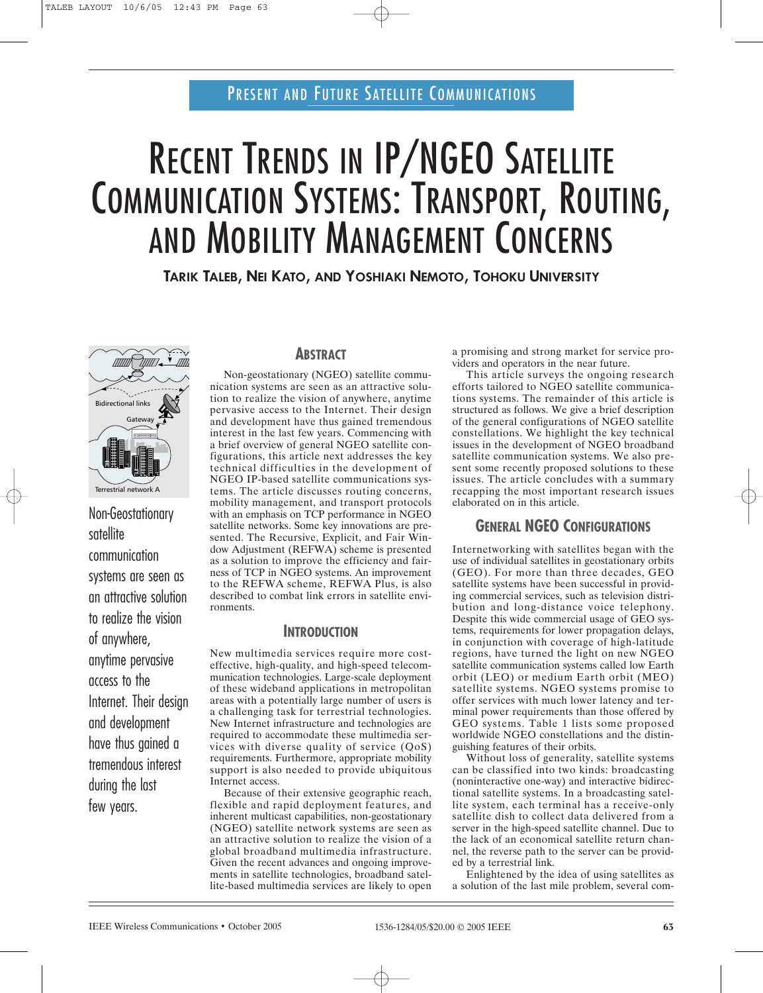# PRESENT AND FUTURE SATELLITE COMMUNICATIONS

# RECENT TRENDS IN IP/NGEO SATELLITE COMMUNICATION SYSTEMS: TRANSPORT, ROUTING, AND MOBILITY MANAGEMENT CONCERNS

**TARIK TALEB, NEI KATO, AND YOSHIAKI NEMOTO, TOHOKU UNIVERSITY**



Non-Geostationary satellite communication systems are seen as an attractive solution to realize the vision of anywhere, anytime pervasive access to the Internet. Their design and development have thus gained a tremendous interest during the last few years.

#### **ABSTRACT**

Non-geostationary (NGEO) satellite communication systems are seen as an attractive solution to realize the vision of anywhere, anytime pervasive access to the Internet. Their design and development have thus gained tremendous interest in the last few years. Commencing with a brief overview of general NGEO satellite configurations, this article next addresses the key technical difficulties in the development of NGEO IP-based satellite communications systems. The article discusses routing concerns, mobility management, and transport protocols with an emphasis on TCP performance in NGEO satellite networks. Some key innovations are presented. The Recursive, Explicit, and Fair Window Adjustment (REFWA) scheme is presented as a solution to improve the efficiency and fairness of TCP in NGEO systems. An improvement to the REFWA scheme, REFWA Plus, is also described to combat link errors in satellite environments.

#### **INTRODUCTION**

New multimedia services require more costeffective, high-quality, and high-speed telecommunication technologies. Large-scale deployment of these wideband applications in metropolitan areas with a potentially large number of users is a challenging task for terrestrial technologies. New Internet infrastructure and technologies are required to accommodate these multimedia services with diverse quality of service (QoS) requirements. Furthermore, appropriate mobility support is also needed to provide ubiquitous Internet access.

Because of their extensive geographic reach, flexible and rapid deployment features, and inherent multicast capabilities, non-geostationary (NGEO) satellite network systems are seen as an attractive solution to realize the vision of a global broadband multimedia infrastructure. Given the recent advances and ongoing improvements in satellite technologies, broadband satellite-based multimedia services are likely to open

a promising and strong market for service providers and operators in the near future.

This article surveys the ongoing research efforts tailored to NGEO satellite communications systems. The remainder of this article is structured as follows. We give a brief description of the general configurations of NGEO satellite constellations. We highlight the key technical issues in the development of NGEO broadband satellite communication systems. We also present some recently proposed solutions to these issues. The article concludes with a summary recapping the most important research issues elaborated on in this article.

## **GENERAL NGEO CONFIGURATIONS**

Internetworking with satellites began with the use of individual satellites in geostationary orbits (GEO). For more than three decades, GEO satellite systems have been successful in providing commercial services, such as television distribution and long-distance voice telephony. Despite this wide commercial usage of GEO systems, requirements for lower propagation delays, in conjunction with coverage of high-latitude regions, have turned the light on new NGEO satellite communication systems called low Earth orbit (LEO) or medium Earth orbit (MEO) satellite systems. NGEO systems promise to offer services with much lower latency and terminal power requirements than those offered by GEO systems. Table 1 lists some proposed worldwide NGEO constellations and the distinguishing features of their orbits.

Without loss of generality, satellite systems can be classified into two kinds: broadcasting (noninteractive one-way) and interactive bidirectional satellite systems. In a broadcasting satellite system, each terminal has a receive-only satellite dish to collect data delivered from a server in the high-speed satellite channel. Due to the lack of an economical satellite return channel, the reverse path to the server can be provided by a terrestrial link.

Enlightened by the idea of using satellites as a solution of the last mile problem, several com-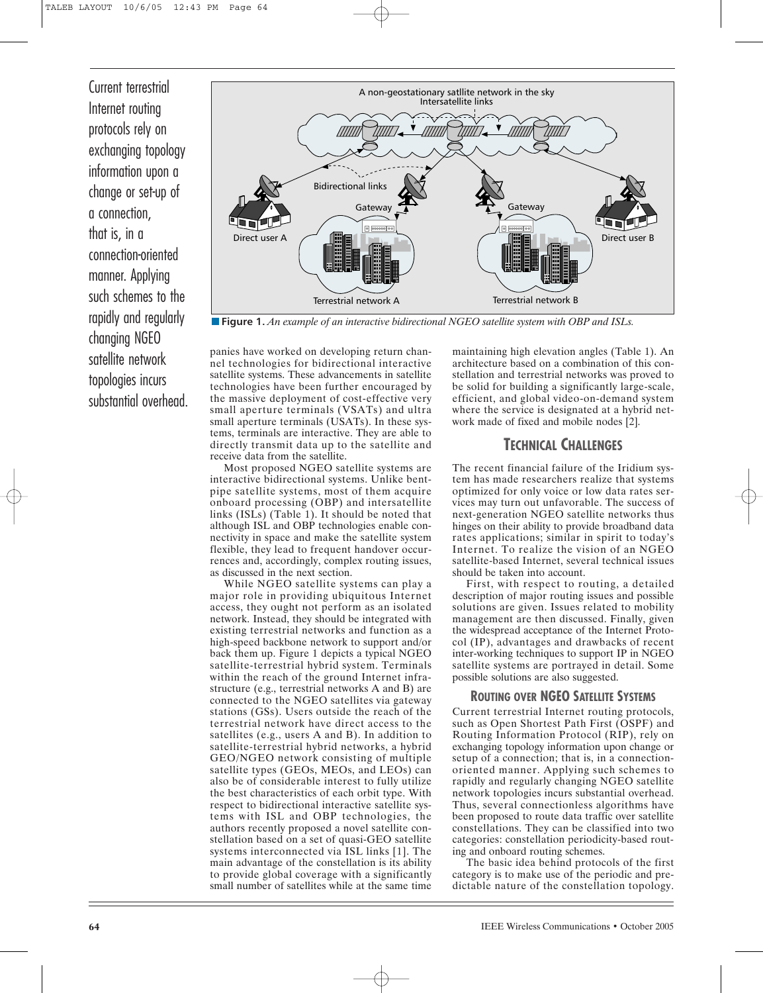Current terrestrial Internet routing protocols rely on exchanging topology information upon a change or set-up of a connection, that is, in a connection-oriented manner. Applying such schemes to the rapidly and regularly changing NGEO satellite network topologies incurs substantial overhead.



n **Figure 1.** *An example of an interactive bidirectional NGEO satellite system with OBP and ISLs.*

panies have worked on developing return channel technologies for bidirectional interactive satellite systems. These advancements in satellite technologies have been further encouraged by the massive deployment of cost-effective very small aperture terminals (VSATs) and ultra small aperture terminals (USATs). In these systems, terminals are interactive. They are able to directly transmit data up to the satellite and receive data from the satellite.

Most proposed NGEO satellite systems are interactive bidirectional systems. Unlike bentpipe satellite systems, most of them acquire onboard processing (OBP) and intersatellite links (ISLs) (Table 1). It should be noted that although ISL and OBP technologies enable connectivity in space and make the satellite system flexible, they lead to frequent handover occurrences and, accordingly, complex routing issues, as discussed in the next section.

While NGEO satellite systems can play a major role in providing ubiquitous Internet access, they ought not perform as an isolated network. Instead, they should be integrated with existing terrestrial networks and function as a high-speed backbone network to support and/or back them up. Figure 1 depicts a typical NGEO satellite-terrestrial hybrid system. Terminals within the reach of the ground Internet infrastructure (e.g., terrestrial networks A and B) are connected to the NGEO satellites via gateway stations (GSs). Users outside the reach of the terrestrial network have direct access to the satellites (e.g., users A and B). In addition to satellite-terrestrial hybrid networks, a hybrid GEO/NGEO network consisting of multiple satellite types (GEOs, MEOs, and LEOs) can also be of considerable interest to fully utilize the best characteristics of each orbit type. With respect to bidirectional interactive satellite systems with ISL and OBP technologies, the authors recently proposed a novel satellite constellation based on a set of quasi-GEO satellite systems interconnected via ISL links [1]. The main advantage of the constellation is its ability to provide global coverage with a significantly small number of satellites while at the same time

maintaining high elevation angles (Table 1). An architecture based on a combination of this constellation and terrestrial networks was proved to be solid for building a significantly large-scale, efficient, and global video-on-demand system where the service is designated at a hybrid network made of fixed and mobile nodes [2].

# **TECHNICAL CHALLENGES**

The recent financial failure of the Iridium system has made researchers realize that systems optimized for only voice or low data rates services may turn out unfavorable. The success of next-generation NGEO satellite networks thus hinges on their ability to provide broadband data rates applications; similar in spirit to today's Internet. To realize the vision of an NGEO satellite-based Internet, several technical issues should be taken into account.

First, with respect to routing, a detailed description of major routing issues and possible solutions are given. Issues related to mobility management are then discussed. Finally, given the widespread acceptance of the Internet Protocol (IP), advantages and drawbacks of recent inter-working techniques to support IP in NGEO satellite systems are portrayed in detail. Some possible solutions are also suggested.

#### **ROUTING OVER NGEO SATELLITE SYSTEMS**

Current terrestrial Internet routing protocols, such as Open Shortest Path First (OSPF) and Routing Information Protocol (RIP), rely on exchanging topology information upon change or setup of a connection; that is, in a connectionoriented manner. Applying such schemes to rapidly and regularly changing NGEO satellite network topologies incurs substantial overhead. Thus, several connectionless algorithms have been proposed to route data traffic over satellite constellations. They can be classified into two categories: constellation periodicity-based routing and onboard routing schemes.

The basic idea behind protocols of the first category is to make use of the periodic and predictable nature of the constellation topology.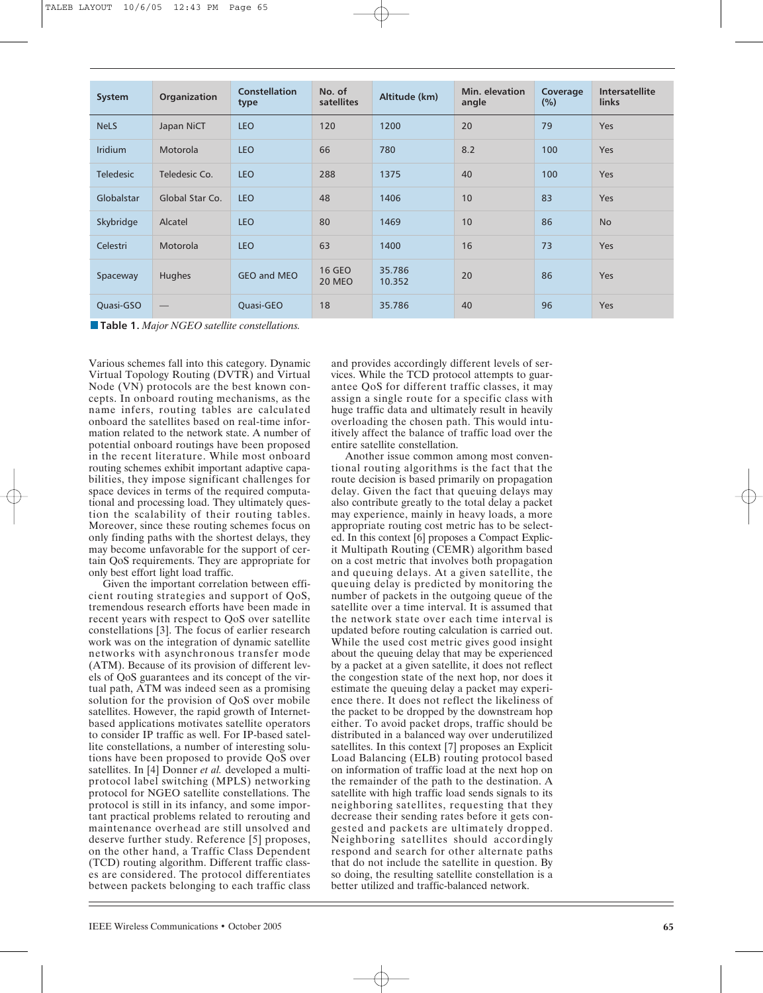| System           | Organization    | <b>Constellation</b><br>type | No. of<br>satellites    | Altitude (km)    | Min. elevation<br>angle | Coverage<br>(% ) | <b>Intersatellite</b><br><b>links</b> |
|------------------|-----------------|------------------------------|-------------------------|------------------|-------------------------|------------------|---------------------------------------|
| <b>NeLS</b>      | Japan NiCT      | <b>LEO</b>                   | 120                     | 1200             | 20                      | 79               | Yes                                   |
| <b>Iridium</b>   | Motorola        | <b>LEO</b>                   | 66                      | 780              | 8.2                     | 100              | <b>Yes</b>                            |
| <b>Teledesic</b> | Teledesic Co.   | <b>LEO</b>                   | 288                     | 1375             | 40                      | 100              | <b>Yes</b>                            |
| Globalstar       | Global Star Co. | <b>LEO</b>                   | 48                      | 1406             | 10                      | 83               | <b>Yes</b>                            |
| Skybridge        | Alcatel         | <b>LEO</b>                   | 80                      | 1469             | 10                      | 86               | <b>No</b>                             |
| Celestri         | Motorola        | <b>LEO</b>                   | 63                      | 1400             | 16                      | 73               | <b>Yes</b>                            |
| Spaceway         | Hughes          | GEO and MEO                  | 16 GEO<br><b>20 MEO</b> | 35.786<br>10.352 | 20                      | 86               | <b>Yes</b>                            |
| Quasi-GSO        |                 | Quasi-GEO                    | 18                      | 35.786           | 40                      | 96               | <b>Yes</b>                            |

■ **Table 1.** *Major NGEO satellite constellations.* 

Various schemes fall into this category. Dynamic Virtual Topology Routing (DVTR) and Virtual Node (VN) protocols are the best known concepts. In onboard routing mechanisms, as the name infers, routing tables are calculated onboard the satellites based on real-time information related to the network state. A number of potential onboard routings have been proposed in the recent literature. While most onboard routing schemes exhibit important adaptive capabilities, they impose significant challenges for space devices in terms of the required computational and processing load. They ultimately question the scalability of their routing tables. Moreover, since these routing schemes focus on only finding paths with the shortest delays, they may become unfavorable for the support of certain QoS requirements. They are appropriate for only best effort light load traffic.

Given the important correlation between efficient routing strategies and support of QoS, tremendous research efforts have been made in recent years with respect to QoS over satellite constellations [3]. The focus of earlier research work was on the integration of dynamic satellite networks with asynchronous transfer mode (ATM). Because of its provision of different levels of QoS guarantees and its concept of the virtual path, ATM was indeed seen as a promising solution for the provision of QoS over mobile satellites. However, the rapid growth of Internetbased applications motivates satellite operators to consider IP traffic as well. For IP-based satellite constellations, a number of interesting solutions have been proposed to provide QoS over satellites. In [4] Donner *et al.* developed a multiprotocol label switching (MPLS) networking protocol for NGEO satellite constellations. The protocol is still in its infancy, and some important practical problems related to rerouting and maintenance overhead are still unsolved and deserve further study. Reference [5] proposes, on the other hand, a Traffic Class Dependent (TCD) routing algorithm. Different traffic classes are considered. The protocol differentiates between packets belonging to each traffic class

and provides accordingly different levels of services. While the TCD protocol attempts to guarantee QoS for different traffic classes, it may assign a single route for a specific class with huge traffic data and ultimately result in heavily overloading the chosen path. This would intuitively affect the balance of traffic load over the entire satellite constellation.

Another issue common among most conventional routing algorithms is the fact that the route decision is based primarily on propagation delay. Given the fact that queuing delays may also contribute greatly to the total delay a packet may experience, mainly in heavy loads, a more appropriate routing cost metric has to be selected. In this context [6] proposes a Compact Explicit Multipath Routing (CEMR) algorithm based on a cost metric that involves both propagation and queuing delays. At a given satellite, the queuing delay is predicted by monitoring the number of packets in the outgoing queue of the satellite over a time interval. It is assumed that the network state over each time interval is updated before routing calculation is carried out. While the used cost metric gives good insight about the queuing delay that may be experienced by a packet at a given satellite, it does not reflect the congestion state of the next hop, nor does it estimate the queuing delay a packet may experience there. It does not reflect the likeliness of the packet to be dropped by the downstream hop either. To avoid packet drops, traffic should be distributed in a balanced way over underutilized satellites. In this context [7] proposes an Explicit Load Balancing (ELB) routing protocol based on information of traffic load at the next hop on the remainder of the path to the destination. A satellite with high traffic load sends signals to its neighboring satellites, requesting that they decrease their sending rates before it gets congested and packets are ultimately dropped. Neighboring satellites should accordingly respond and search for other alternate paths that do not include the satellite in question. By so doing, the resulting satellite constellation is a better utilized and traffic-balanced network.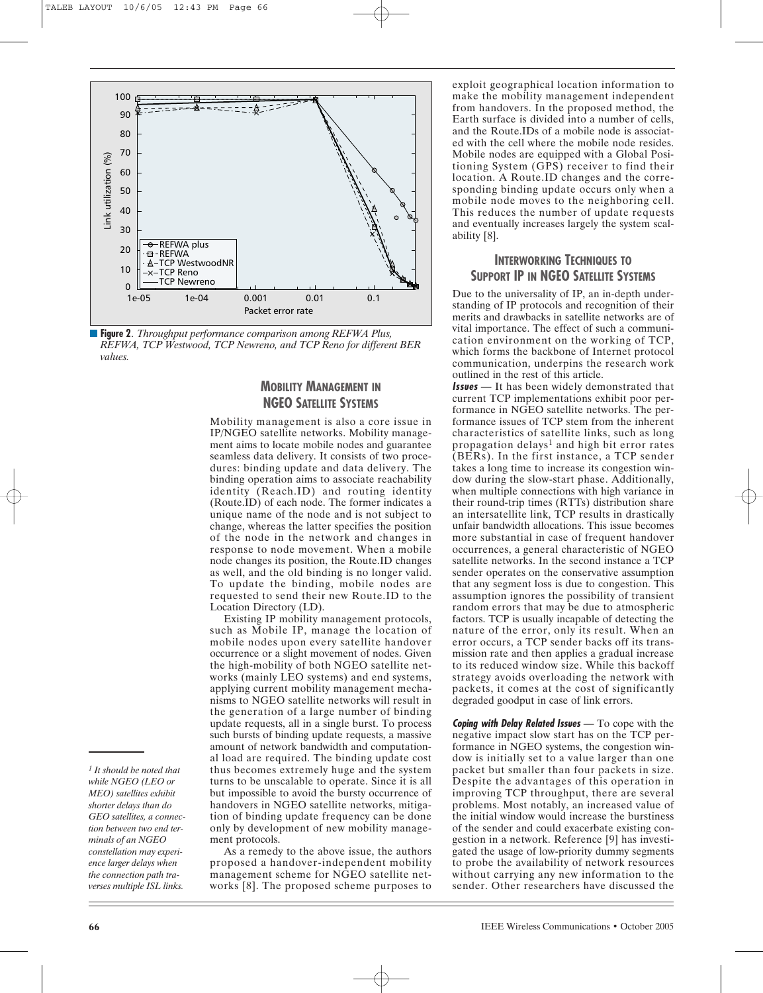

n **Figure 2**. *Throughput performance comparison among REFWA Plus, REFWA, TCP Westwood, TCP Newreno, and TCP Reno for different BER values.*

#### **MOBILITY MANAGEMENT IN NGEO SATELLITE SYSTEMS**

Mobility management is also a core issue in IP/NGEO satellite networks. Mobility management aims to locate mobile nodes and guarantee seamless data delivery. It consists of two procedures: binding update and data delivery. The binding operation aims to associate reachability identity (Reach.ID) and routing identity (Route.ID) of each node. The former indicates a unique name of the node and is not subject to change, whereas the latter specifies the position of the node in the network and changes in response to node movement. When a mobile node changes its position, the Route.ID changes as well, and the old binding is no longer valid. To update the binding, mobile nodes are requested to send their new Route.ID to the Location Directory (LD).

Existing IP mobility management protocols, such as Mobile IP, manage the location of mobile nodes upon every satellite handover occurrence or a slight movement of nodes. Given the high-mobility of both NGEO satellite networks (mainly LEO systems) and end systems, applying current mobility management mechanisms to NGEO satellite networks will result in the generation of a large number of binding update requests, all in a single burst. To process such bursts of binding update requests, a massive amount of network bandwidth and computational load are required. The binding update cost thus becomes extremely huge and the system turns to be unscalable to operate. Since it is all but impossible to avoid the bursty occurrence of handovers in NGEO satellite networks, mitigation of binding update frequency can be done only by development of new mobility management protocols.

As a remedy to the above issue, the authors proposed a handover-independent mobility management scheme for NGEO satellite networks [8]. The proposed scheme purposes to exploit geographical location information to make the mobility management independent from handovers. In the proposed method, the Earth surface is divided into a number of cells, and the Route.IDs of a mobile node is associated with the cell where the mobile node resides. Mobile nodes are equipped with a Global Positioning System (GPS) receiver to find their location. A Route.ID changes and the corresponding binding update occurs only when a mobile node moves to the neighboring cell. This reduces the number of update requests and eventually increases largely the system scalability [8].

#### **INTERWORKING TECHNIQUES TO SUPPORT IP IN NGEO SATELLITE SYSTEMS**

Due to the universality of IP, an in-depth understanding of IP protocols and recognition of their merits and drawbacks in satellite networks are of vital importance. The effect of such a communication environment on the working of TCP, which forms the backbone of Internet protocol communication, underpins the research work outlined in the rest of this article.

**Issues** — It has been widely demonstrated that current TCP implementations exhibit poor performance in NGEO satellite networks. The performance issues of TCP stem from the inherent characteristics of satellite links, such as long propagation delays1 and high bit error rates (BERs). In the first instance, a TCP sender takes a long time to increase its congestion window during the slow-start phase. Additionally, when multiple connections with high variance in their round-trip times (RTTs) distribution share an intersatellite link, TCP results in drastically unfair bandwidth allocations. This issue becomes more substantial in case of frequent handover occurrences, a general characteristic of NGEO satellite networks. In the second instance a TCP sender operates on the conservative assumption that any segment loss is due to congestion. This assumption ignores the possibility of transient random errors that may be due to atmospheric factors. TCP is usually incapable of detecting the nature of the error, only its result. When an error occurs, a TCP sender backs off its transmission rate and then applies a gradual increase to its reduced window size. While this backoff strategy avoids overloading the network with packets, it comes at the cost of significantly degraded goodput in case of link errors.

**Coping with Delay Related Issues** — To cope with the negative impact slow start has on the TCP performance in NGEO systems, the congestion window is initially set to a value larger than one packet but smaller than four packets in size. Despite the advantages of this operation in improving TCP throughput, there are several problems. Most notably, an increased value of the initial window would increase the burstiness of the sender and could exacerbate existing congestion in a network. Reference [9] has investigated the usage of low-priority dummy segments to probe the availability of network resources without carrying any new information to the sender. Other researchers have discussed the

*<sup>1</sup> It should be noted that while NGEO (LEO or MEO) satellites exhibit shorter delays than do GEO satellites, a connection between two end terminals of an NGEO constellation may experience larger delays when the connection path traverses multiple ISL links.*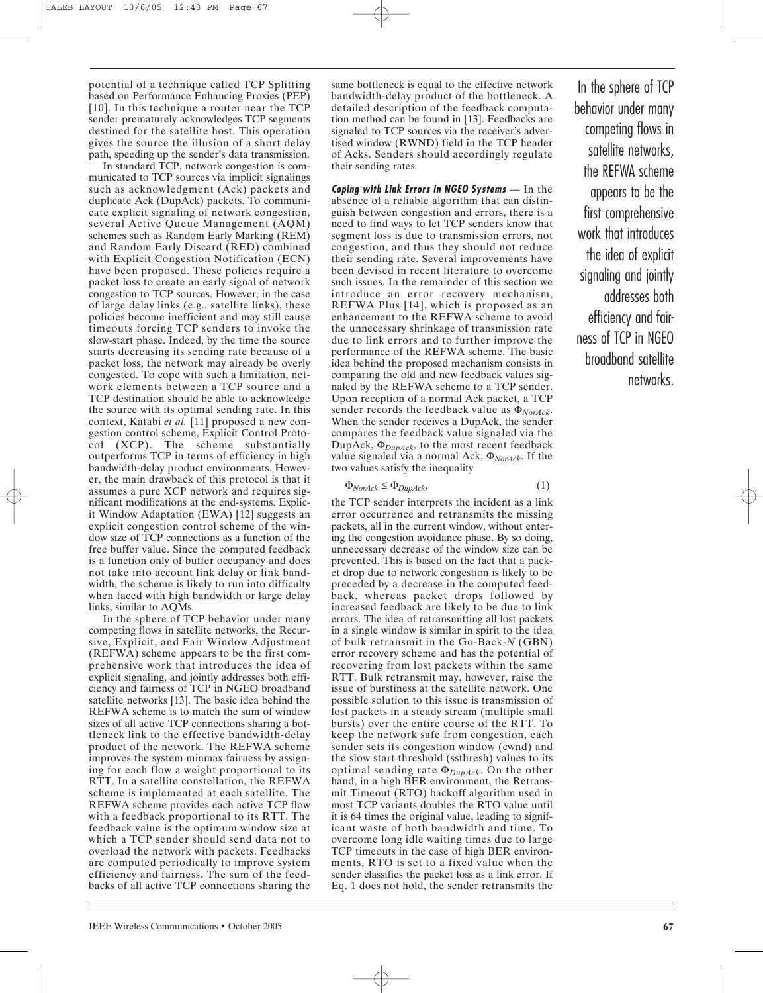potential of a technique called TCP Splitting based on Performance Enhancing Proxies (PEP) [10]. In this technique a router near the TCP sender prematurely acknowledges TCP segments destined for the satellite host. This operation gives the source the illusion of a short delay path, speeding up the sender's data transmission.

In standard TCP, network congestion is communicated to TCP sources via implicit signalings such as acknowledgment (Ack) packets and duplicate Ack (DupAck) packets. To communicate explicit signaling of network congestion, several Active Queue Management (AQM) schemes such as Random Early Marking (REM) and Random Early Discard (RED) combined with Explicit Congestion Notification (ECN) have been proposed. These policies require a packet loss to create an early signal of network congestion to TCP sources. However, in the case of large delay links (e.g., satellite links), these policies become inefficient and may still cause timeouts forcing TCP senders to invoke the slow-start phase. Indeed, by the time the source starts decreasing its sending rate because of a packet loss, the network may already be overly congested. To cope with such a limitation, network elements between a TCP source and a TCP destination should be able to acknowledge the source with its optimal sending rate. In this context, Katabi *et al.* [11] proposed a new congestion control scheme, Explicit Control Protocol (XCP). The scheme substantially outperforms TCP in terms of efficiency in high bandwidth-delay product environments. However, the main drawback of this protocol is that it assumes a pure XCP network and requires significant modifications at the end-systems. Explicit Window Adaptation (EWA) [12] suggests an explicit congestion control scheme of the window size of TCP connections as a function of the free buffer value. Since the computed feedback is a function only of buffer occupancy and does not take into account link delay or link bandwidth, the scheme is likely to run into difficulty when faced with high bandwidth or large delay links, similar to AQMs.

In the sphere of TCP behavior under many competing flows in satellite networks, the Recursive, Explicit, and Fair Window Adjustment (REFWA) scheme appears to be the first comprehensive work that introduces the idea of explicit signaling, and jointly addresses both efficiency and fairness of TCP in NGEO broadband satellite networks [13]. The basic idea behind the REFWA scheme is to match the sum of window sizes of all active TCP connections sharing a bottleneck link to the effective bandwidth-delay product of the network. The REFWA scheme improves the system minmax fairness by assigning for each flow a weight proportional to its RTT. In a satellite constellation, the REFWA scheme is implemented at each satellite. The REFWA scheme provides each active TCP flow with a feedback proportional to its RTT. The feedback value is the optimum window size at which a TCP sender should send data not to overload the network with packets. Feedbacks are computed periodically to improve system efficiency and fairness. The sum of the feedbacks of all active TCP connections sharing the

same bottleneck is equal to the effective network bandwidth-delay product of the bottleneck. A detailed description of the feedback computation method can be found in [13]. Feedbacks are signaled to TCP sources via the receiver's advertised window (RWND) field in the TCP header of Acks. Senders should accordingly regulate their sending rates.

**Coping with Link Errors in NGEO Systems** — In the absence of a reliable algorithm that can distinguish between congestion and errors, there is a need to find ways to let TCP senders know that segment loss is due to transmission errors, not congestion, and thus they should not reduce their sending rate. Several improvements have been devised in recent literature to overcome such issues. In the remainder of this section we introduce an error recovery mechanism, REFWA Plus [14], which is proposed as an enhancement to the REFWA scheme to avoid the unnecessary shrinkage of transmission rate due to link errors and to further improve the performance of the REFWA scheme. The basic idea behind the proposed mechanism consists in comparing the old and new feedback values signaled by the REFWA scheme to a TCP sender. Upon reception of a normal Ack packet, a TCP sender records the feedback value as Φ*NorAck*. When the sender receives a DupAck, the sender compares the feedback value signaled via the DupAck, Φ*DupAck*, to the most recent feedback value signaled via a normal Ack, Φ*NorAck*. If the two values satisfy the inequality

$$
\Phi_{Norack} \leq \Phi_{Dupack},\tag{1}
$$

the TCP sender interprets the incident as a link error occurrence and retransmits the missing packets, all in the current window, without entering the congestion avoidance phase. By so doing, unnecessary decrease of the window size can be prevented. This is based on the fact that a packet drop due to network congestion is likely to be preceded by a decrease in the computed feedback, whereas packet drops followed by increased feedback are likely to be due to link errors. The idea of retransmitting all lost packets in a single window is similar in spirit to the idea of bulk retransmit in the Go-Back-*N* (GBN) error recovery scheme and has the potential of recovering from lost packets within the same RTT. Bulk retransmit may, however, raise the issue of burstiness at the satellite network. One possible solution to this issue is transmission of lost packets in a steady stream (multiple small bursts) over the entire course of the RTT. To keep the network safe from congestion, each sender sets its congestion window (cwnd) and the slow start threshold (ssthresh) values to its optimal sending rate Φ*DupAck*. On the other hand, in a high BER environment, the Retransmit Timeout (RTO) backoff algorithm used in most TCP variants doubles the RTO value until it is 64 times the original value, leading to significant waste of both bandwidth and time. To overcome long idle waiting times due to large TCP timeouts in the case of high BER environments, RTO is set to a fixed value when the sender classifies the packet loss as a link error. If Eq. 1 does not hold, the sender retransmits the

In the sphere of TCP behavior under many competing flows in satellite networks, the REFWA scheme appears to be the first comprehensive work that introduces the idea of explicit signaling and jointly addresses both efficiency and fairness of TCP in NGEO broadband satellite networks.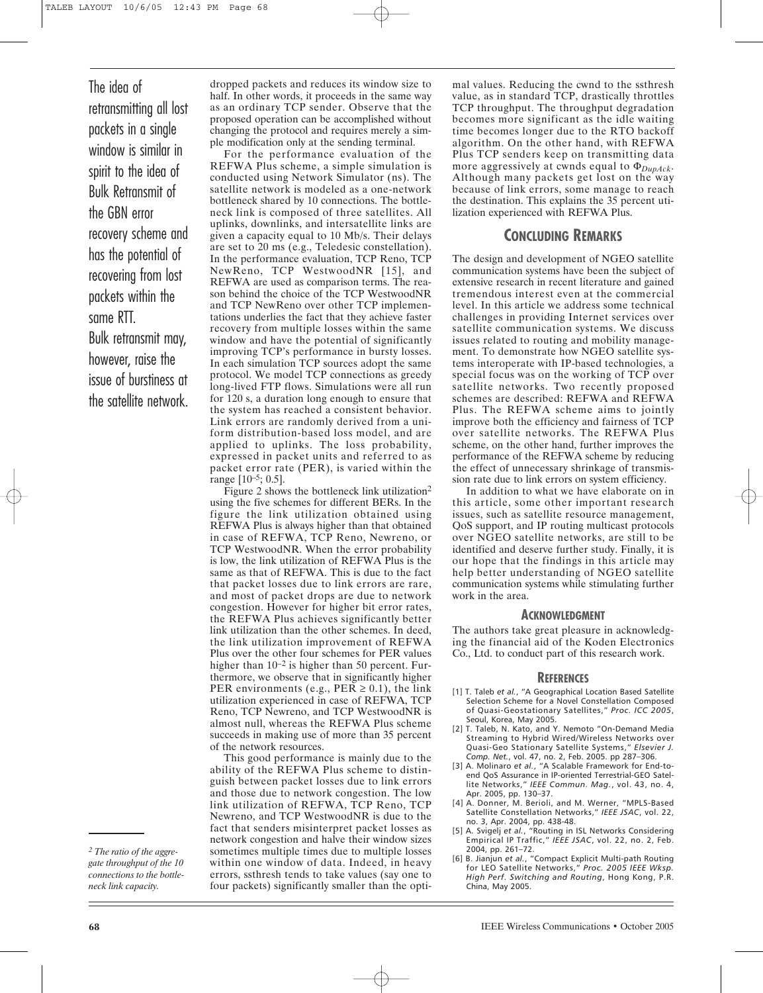The idea of retransmitting all lost packets in a single window is similar in spirit to the idea of Bulk Retransmit of the GBN error recovery scheme and has the potential of recovering from lost packets within the same RTT. Bulk retransmit may, however, raise the issue of burstiness at the satellite network. dropped packets and reduces its window size to half. In other words, it proceeds in the same way as an ordinary TCP sender. Observe that the proposed operation can be accomplished without changing the protocol and requires merely a simple modification only at the sending terminal.

For the performance evaluation of the REFWA Plus scheme, a simple simulation is conducted using Network Simulator (ns). The satellite network is modeled as a one-network bottleneck shared by 10 connections. The bottleneck link is composed of three satellites. All uplinks, downlinks, and intersatellite links are given a capacity equal to 10 Mb/s. Their delays are set to 20 ms (e.g., Teledesic constellation). In the performance evaluation, TCP Reno, TCP NewReno, TCP WestwoodNR [15], and REFWA are used as comparison terms. The reason behind the choice of the TCP WestwoodNR and TCP NewReno over other TCP implementations underlies the fact that they achieve faster recovery from multiple losses within the same window and have the potential of significantly improving TCP's performance in bursty losses. In each simulation TCP sources adopt the same protocol. We model TCP connections as greedy long-lived FTP flows. Simulations were all run for 120 s, a duration long enough to ensure that the system has reached a consistent behavior. Link errors are randomly derived from a uniform distribution-based loss model, and are applied to uplinks. The loss probability, expressed in packet units and referred to as packet error rate (PER), is varied within the range [10–5; 0.5].

Figure 2 shows the bottleneck link utilization<sup>2</sup> using the five schemes for different BERs. In the figure the link utilization obtained using REFWA Plus is always higher than that obtained in case of REFWA, TCP Reno, Newreno, or TCP WestwoodNR. When the error probability is low, the link utilization of REFWA Plus is the same as that of REFWA. This is due to the fact that packet losses due to link errors are rare, and most of packet drops are due to network congestion. However for higher bit error rates, the REFWA Plus achieves significantly better link utilization than the other schemes. In deed, the link utilization improvement of REFWA Plus over the other four schemes for PER values higher than  $10^{-2}$  is higher than 50 percent. Furthermore, we observe that in significantly higher PER environments (e.g., PER  $\geq$  0.1), the link utilization experienced in case of REFWA, TCP Reno, TCP Newreno, and TCP WestwoodNR is almost null, whereas the REFWA Plus scheme succeeds in making use of more than 35 percent of the network resources.

This good performance is mainly due to the ability of the REFWA Plus scheme to distinguish between packet losses due to link errors and those due to network congestion. The low link utilization of REFWA, TCP Reno, TCP Newreno, and TCP WestwoodNR is due to the fact that senders misinterpret packet losses as network congestion and halve their window sizes sometimes multiple times due to multiple losses within one window of data. Indeed, in heavy errors, ssthresh tends to take values (say one to four packets) significantly smaller than the optimal values. Reducing the cwnd to the ssthresh value, as in standard TCP, drastically throttles TCP throughput. The throughput degradation becomes more significant as the idle waiting time becomes longer due to the RTO backoff algorithm. On the other hand, with REFWA Plus TCP senders keep on transmitting data more aggressively at cwnds equal to Φ*DupAck*. Although many packets get lost on the way because of link errors, some manage to reach the destination. This explains the 35 percent utilization experienced with REFWA Plus.

## **CONCLUDING REMARKS**

The design and development of NGEO satellite communication systems have been the subject of extensive research in recent literature and gained tremendous interest even at the commercial level. In this article we address some technical challenges in providing Internet services over satellite communication systems. We discuss issues related to routing and mobility management. To demonstrate how NGEO satellite systems interoperate with IP-based technologies, a special focus was on the working of TCP over satellite networks. Two recently proposed schemes are described: REFWA and REFWA Plus. The REFWA scheme aims to jointly improve both the efficiency and fairness of TCP over satellite networks. The REFWA Plus scheme, on the other hand, further improves the performance of the REFWA scheme by reducing the effect of unnecessary shrinkage of transmission rate due to link errors on system efficiency.

In addition to what we have elaborate on in this article, some other important research issues, such as satellite resource management, QoS support, and IP routing multicast protocols over NGEO satellite networks, are still to be identified and deserve further study. Finally, it is our hope that the findings in this article may help better understanding of NGEO satellite communication systems while stimulating further work in the area.

#### **ACKNOWLEDGMENT**

The authors take great pleasure in acknowledging the financial aid of the Koden Electronics Co., Ltd. to conduct part of this research work.

#### **REFERENCES**

- [1] T. Taleb *et al.*, "A Geographical Location Based Satellite Selection Scheme for a Novel Constellation Composed of Quasi-Geostationary Satellites," *Proc. ICC 2005*, Seoul, Korea, May 2005.
- [2] T. Taleb, N. Kato, and Y. Nemoto "On-Demand Media Streaming to Hybrid Wired/Wireless Networks over Quasi-Geo Stationary Satellite Systems," *Elsevier J. Comp. Net.*, vol. 47, no. 2, Feb. 2005. pp 287–306.
- [3] A. Molinaro *et al.*, "A Scalable Framework for End-toend QoS Assurance in IP-oriented Terrestrial-GEO Satellite Networks," *IEEE Commun. Mag.*, vol. 43, no. 4,
- Apr. 2005, pp. 130–37. [4] A. Donner, M. Berioli, and M. Werner, "MPLS-Based Satellite Constellation Networks," *IEEE JSAC*, vol. 22,
- no. 3, Apr. 2004, pp. 438-48. [5] A. Svigelj *et al.*, "Routing in ISL Networks Considering Empirical IP Traffic," *IEEE JSAC*, vol. 22, no. 2, Feb. 2004, pp. 261–72. [6] B. Jianjun *et al.*, "Compact Explicit Multi-path Routing
- for LEO Satellite Networks," *Proc. 2005 IEEE Wksp. High Perf. Switching and Routing*, Hong Kong, P.R. China, May 2005.

*<sup>2</sup> The ratio of the aggregate throughput of the 10 connections to the bottleneck link capacity.*